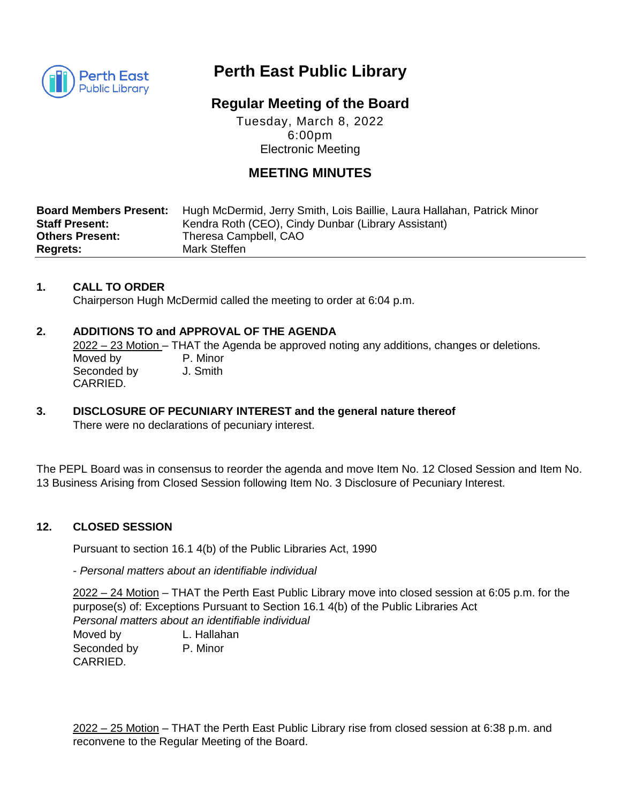

# **Perth East Public Library**

## **Regular Meeting of the Board**

Tuesday, March 8, 2022 6:00pm Electronic Meeting

## **MEETING MINUTES**

| <b>Board Members Present:</b> | Hugh McDermid, Jerry Smith, Lois Baillie, Laura Hallahan, Patrick Minor |
|-------------------------------|-------------------------------------------------------------------------|
| <b>Staff Present:</b>         | Kendra Roth (CEO), Cindy Dunbar (Library Assistant)                     |
| <b>Others Present:</b>        | Theresa Campbell, CAO                                                   |
| <b>Regrets:</b>               | Mark Steffen                                                            |

## **1. CALL TO ORDER**

Chairperson Hugh McDermid called the meeting to order at 6:04 p.m.

## **2. ADDITIONS TO and APPROVAL OF THE AGENDA**

2022 – 23 Motion – THAT the Agenda be approved noting any additions, changes or deletions. Moved by **P. Minor** Seconded by J. Smith CARRIED.

**3. DISCLOSURE OF PECUNIARY INTEREST and the general nature thereof** There were no declarations of pecuniary interest.

The PEPL Board was in consensus to reorder the agenda and move Item No. 12 Closed Session and Item No. 13 Business Arising from Closed Session following Item No. 3 Disclosure of Pecuniary Interest.

#### **12. CLOSED SESSION**

Pursuant to section 16.1 4(b) of the Public Libraries Act, 1990

- *Personal matters about an identifiable individual*

2022 – 24 Motion – THAT the Perth East Public Library move into closed session at 6:05 p.m. for the purpose(s) of: Exceptions Pursuant to Section 16.1 4(b) of the Public Libraries Act *Personal matters about an identifiable individual* 

Moved by L. Hallahan Seconded by P. Minor CARRIED.

2022 – 25 Motion – THAT the Perth East Public Library rise from closed session at 6:38 p.m. and reconvene to the Regular Meeting of the Board.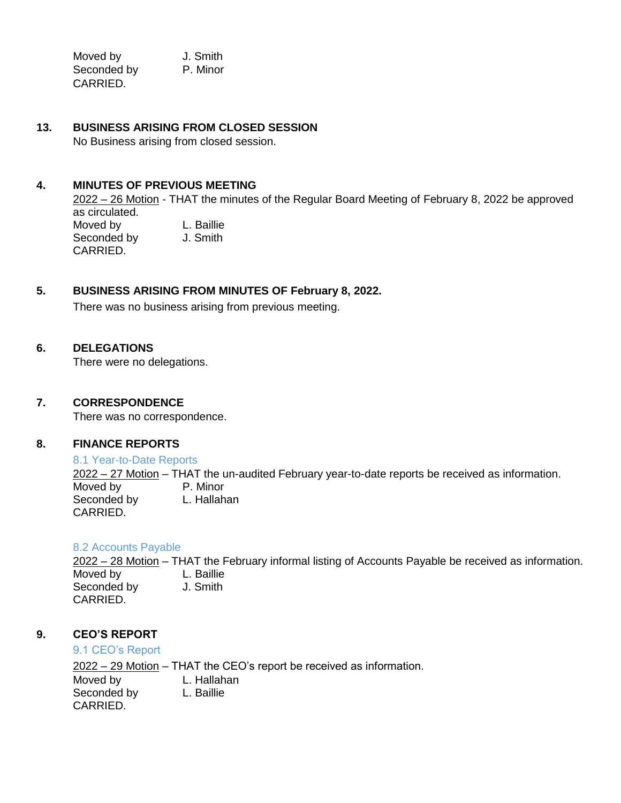Moved by **J.** Smith **Section 2006 J.** Smith Seconded by P. Minor CARRIED.

### **13. BUSINESS ARISING FROM CLOSED SESSION**

No Business arising from closed session.

#### **4. MINUTES OF PREVIOUS MEETING**

2022 – 26 Motion - THAT the minutes of the Regular Board Meeting of February 8, 2022 be approved as circulated. Moved by **L. Baillie** 

Seconded by J. Smith CARRIED.

## **5. BUSINESS ARISING FROM MINUTES OF February 8, 2022.**

There was no business arising from previous meeting.

#### **6. DELEGATIONS**

There were no delegations.

#### **7. CORRESPONDENCE**

There was no correspondence.

#### **8. FINANCE REPORTS**

8.1 Year-to-Date Reports

 $\frac{2022 - 27 \text{ Motion}}{P}$  – THAT the un-audited February year-to-date reports be received as information.  $\overline{\mathsf{M}}$ oved by Seconded by L. Hallahan CARRIED.

#### 8.2 Accounts Payable

2022 – 28 Motion – THAT the February informal listing of Accounts Payable be received as information. Moved by L. Baillie Seconded by J. Smith CARRIED.

#### **9. CEO'S REPORT**

#### 9.1 CEO's Report

2022 – 29 Motion – THAT the CEO's report be received as information. Moved by L. Hallahan Seconded by L. Baillie CARRIED.